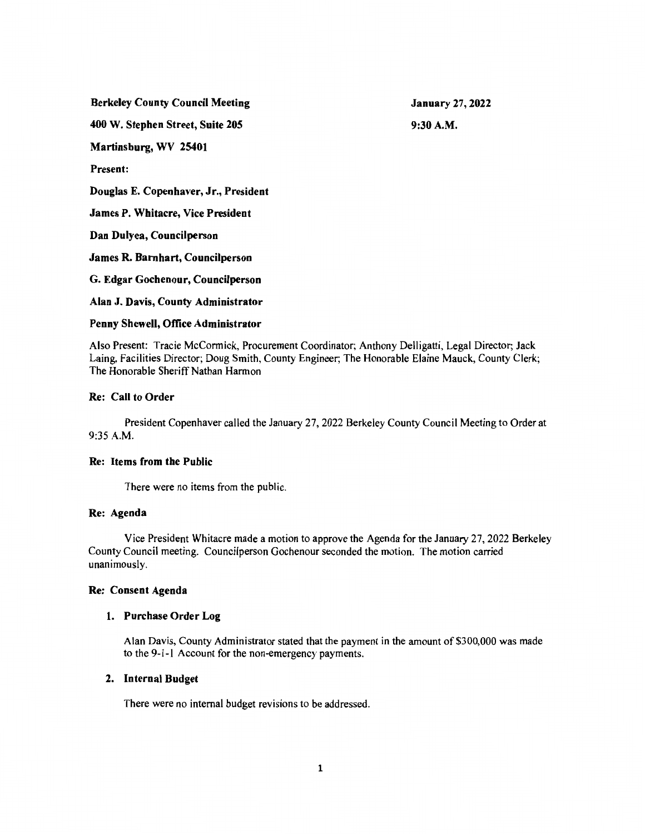Berkeley County Council Meeting

January 27, 2022 9:30A.M.

400 W. Stephen Street, Suite 205

Martinsburg, WV 25401

Present:

Douglas E. Copenhaver, Jr., President

James P. Whitacre, Vice President

Dan Dulyea, Councilperson

James R. Barnhart, Councilperson

G. Edgar Gochenour, Councilperson

Alan J. Davis, County Administrator

# Penny Shewell, Office Administrator

Also Present: Tracie McCormick, Procurement Coordinator; Anthony Delligatti, Legal Director; Jack Laing, Facilities Director; Doug Smith, County Engineer; The Honorable Elaine Mauck, County Clerk; The Honorable Sheriff Nathan Harmon

# Re: Call to Order

President Copenhaver called the January 27, 2022 Berkeley County Council Meeting to Order at 9:35 A.M.

## Re: Items from the Public

There were no items from the public.

## Re: Agenda

Vice President Whitacre made a motion to approve the Agenda for the January 27, 2022 Berkeley County Council meeting. Councilperson Gochenour seconded the motion. The motion carried unanimously.

## Re: Consent Agenda

# 1. Purchase Order Log

Alan Davis, County Administrator stated that the payment in the amount of \$300,000 was made to the 9-1-1 Account for the non-emergency payments.

# 2. Internal Budget

There were no internal budget revisions to be addressed.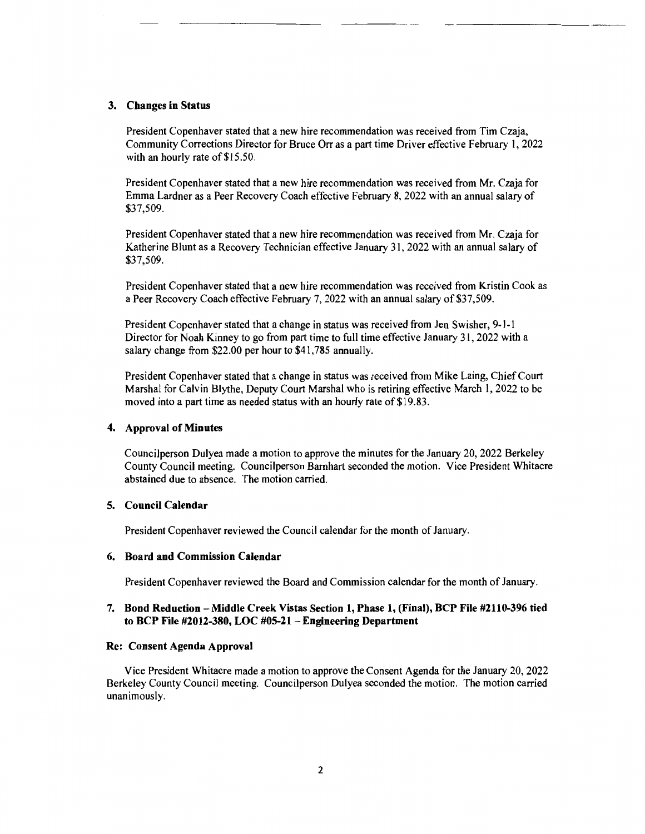#### 3. Changes in Status

President Copenhaver stated that a new hire recommendation was received from Tim Czaja, Community Corrections Director for Bruce Orr as a part time Driver effective February I, 2022 with an hourly rate of \$15.50.

President Copenhaver stated that a new hire recommendation was received from Mr. Czaja for Emma Lardner as a Peer Recovery Coach effective February 8, 2022 with an annual salary of \$37,509.

President Copenhaver stated that a new hire recommendation was received from Mr. Czaja for Katherine Blunt as a Recovery Technician effective January 3 I, 2022 with an annual salary of \$37,509.

President Copenhaver stated that a new hire recommendation was received from Kristin Cook as a Peer Recovery Coach effective February 7, 2022 with an annual salary of \$37,509.

President Copenhaver stated that a change in status was received from Jen Swisher, 9-1-1 Director for Noah Kinney to go from part time to full time effective January 3 I, 2022 with a salary change from \$22.00 per hour to \$41,785 annually.

President Copenhaver stated that a change in status was received from Mike Laing, Chief Court Marshal for Calvin Blythe, Deputy Court Marshal who is retiring effective March I, 2022 to be moved into a part time as needed status with an hourly rate of \$19.83.

#### 4. Approval of Minutes

Councilperson Dulyea made a motion to approve the minutes for the January 20, 2022 Berkeley County Council meeting. Councilperson Barnhart seconded the motion. Vice President Whitacre abstained due to absence. The motion carried.

# 5. Council Calendar

President Copenhaver reviewed the Council calendar for the month of January.

#### 6. Board and Commission Calendar

President Copenhaver reviewed the Board and Commission calendar for the month of January.

## 7. Bond Reduction - Middle Creek Vistas Section 1, Phase 1, (Final), BCP File #2110-396 tied to BCP File #2012-380, LOC #05-21 - Engineering Department

#### Re: Consent Agenda Approval

Vice President Whitacre made a motion to approve the Consent Agenda for the January 20, 2022 Berkeley County Council meeting. Councilperson Dulyea seconded the motion. The motion carried unanimously.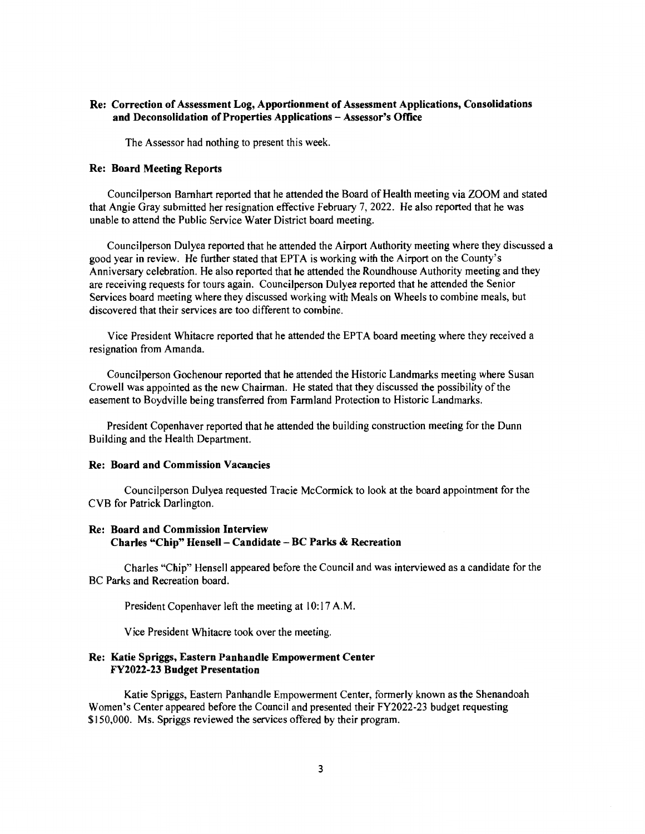#### Re: Correction of Assessment Log, Apportionment of Assessment Applications, Consolidations and Deconsolidation of Properties Applications - Assessor's Office

The Assessor had nothing to present this week.

#### Re: Board Meeting Reports

Councilperson Barnhart reported that he attended the Board of Health meeting via ZOOM and stated that Angie Gray submitted her resignation effective February 7, 2022. He also reported that he was unable to attend the Public Service Water District board meeting.

Councilperson Dulyea reported that he attended the Airport Authority meeting where they discussed a good year in review. He further stated that EPT A is working with the Airport on the County's Anniversary celebration. He also reported that he attended the Roundhouse Authority meeting and they are receiving requests for tours again. Councilperson Dulyea reported that he attended the Senior Services board meeting where they discussed working with Meals on Wheels to combine meals, but discovered that their services are too different to combine.

Vice President Whitacre reported that he attended the EPT A board meeting where they received a resignation from Amanda.

Councilperson Gochenour reported that he attended the Historic Landmarks meeting where Susan Crowell was appointed as the new Chairman. He stated that they discussed the possibility of the easement to Boydville being transferred from Farmland Protection to Historic Landmarks.

President Copenhaver reported that he attended the building construction meeting for the Dunn Building and the Health Department.

#### Re: Board and Commission Vacancies

Councilperson Dulyea requested Tracie McCormick to look at the board appointment for the CYB for Patrick Darlington.

# Re: Board and Commission Interview Charles "Chip" Hensell - Candidate - BC Parks & Recreation

Charles "Chip" Hensell appeared before the Council and was interviewed as a candidate for the BC Parks and Recreation board.

President Copenhaver left the meeting at 10:17 A.M.

Vice President Whitacre took over the meeting.

#### Re: Katie Spriggs, Eastern Panhandle Empowerment Center FY2022-23 Budget Presentation

Katie Spriggs, Eastern Panhandle Empowerment Center, formerly known as the Shenandoah Women's Center appeared before the Council and presented their FY2022-23 budget requesting \$150,000. Ms. Spriggs reviewed the services offered by their program.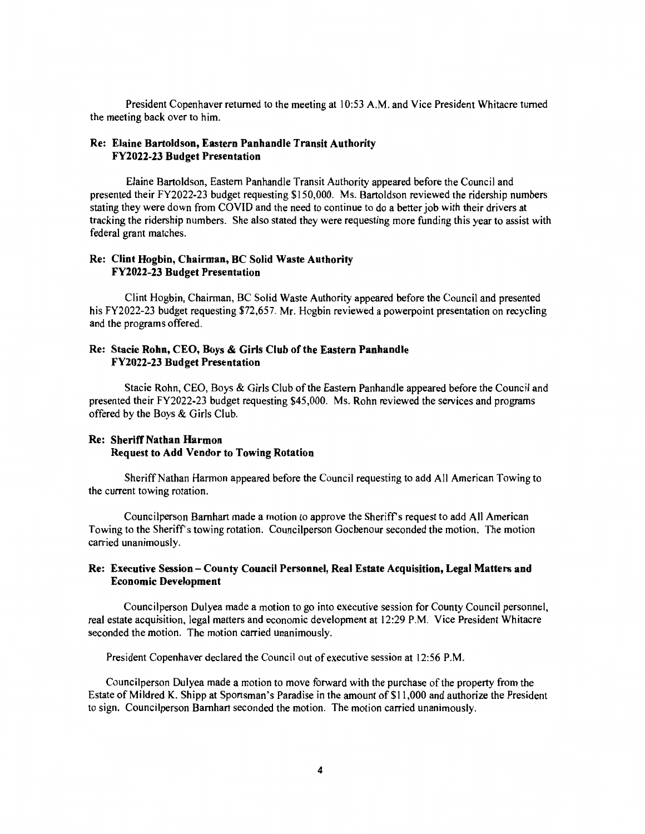President Copenhaver returned to the meeting at 10:53 A.M. and Vice President Whitacre turned the meeting back over to him.

## Re: Elaine Bartoldson, Eastern Panhandle Transit Authority FY2022-23 Budget Presentation

Elaine Bartoldson, Eastern Panhandle Transit Authority appeared before the Council and presented their FY2022-23 budget requesting \$150,000. Ms. Bartoldson reviewed the ridership numbers stating they were down from COVID and the need to continue to do a better job with their drivers at tracking the ridership numbers. She also stated they were requesting more funding this year to assist with federal grant matches.

## Re: Clint Hogbin, Chairman, BC Solid Waste Authority FY2022-23 Budget Presentation

Clint Hogbin, Chairman, BC Solid Waste Authority appeared before the Council and presented his FY2022-23 budget requesting \$72,657. Mr. Hogbin reviewed a powerpoint presentation on recycling and the programs offered.

## Re: Stacie Rohn, CEO, Boys & Girls Club of the Eastern Panhandle FY2022-23 Budget Presentation

Stacie Rohn, CEO, Boys & Girls Club of the Eastern Panhandle appeared before the Council and presented their FY2022-23 budget requesting \$45,000. Ms. Rohn reviewed the services and programs offered by the Boys & Girls Club.

## Re: Sheriff Nathan Harmon Request to Add Vendor to Towing Rotation

Sheriff Nathan Harmon appeared before the Council requesting to add All American Towing to the current towing rotation.

Councilperson Barnhart made a motion to approve the Sheriff's request to add All American Towing to the Sheriffs towing rotation. Councilperson Gochenour seconded the motion. The motion carried unanimously.

# Re: Executive Session - County Council Personnel, Real Estate Acquisition, Legal Matters and Economic Development

Councilperson Dulyea made a motion to go into executive session for County Council personnel, real estate acquisition, legal matters and economic development at 12:29 P.M. Vice President Whitacre seconded the motion. The motion carried unanimously.

President Copenhaver declared the Council out of executive session at 12:56 P.M.

Councilperson Dulyea made a motion to move forward with the purchase of the property from the Estate of Mildred K. Shipp at Sportsman's Paradise in the amount of \$11,000 and authorize the President to sign. Councilperson Barnhart seconded the motion. The motion carried unanimously.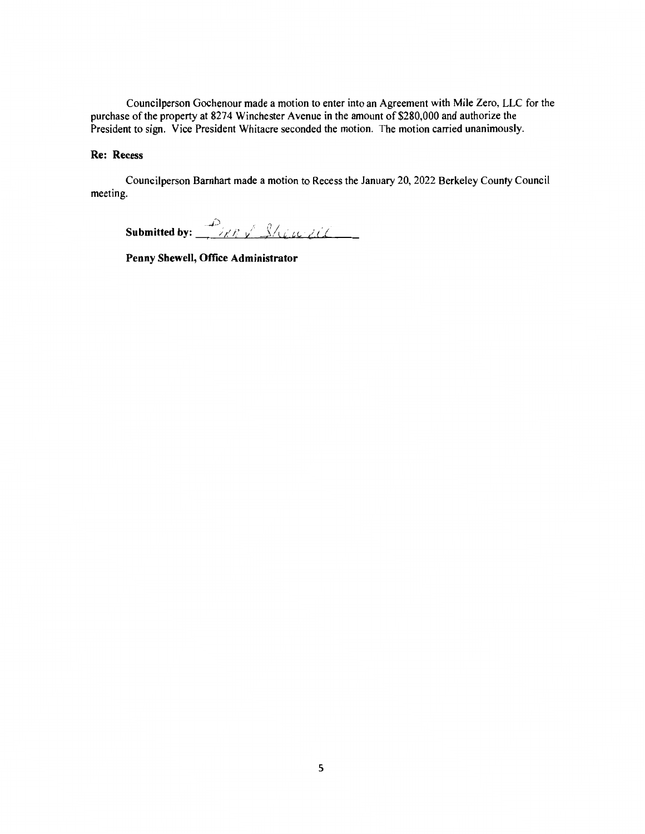Councilperson Gochenour made a motion to enter into an Agreement with Mile Zero, LLC for the purchase of the property at 8274 Winchester Avenue in the amount of \$280,000 and authorize the President to sign. Vice President Whitacre seconded the motion. The motion carried unanimously.

# **Re: Recess**

Councilperson Barnhart made a motion to Recess the January 20, 2022 Berkeley County Council meeting.

Submitted by:  $\frac{1}{\sqrt{2\pi N}}\int$   $\frac{1}{\sqrt{2\pi N}}$ 

**Penny Shewell, Office Administrator**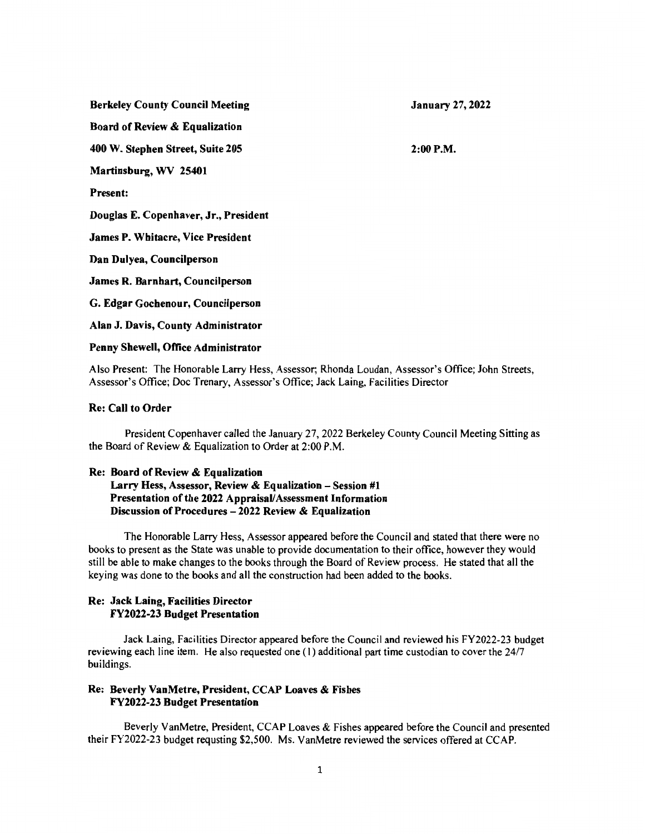Berkeley County Council Meeting

January 27, 2022

 $2:00 P.M.$ 

Board of Review & Equalization

400 W. Stephen Street, Suite 205

Martinsburg, WV 25401

Present:

Douglas E. Copenhaver, Jr., President

James P. Whitacre, Vice President

Dan Dulyea, Councilperson

James R. Barnhart, Councilperson

G. Edgar Gochenour, Councilperson

Alan J. Davis, County Administrator

#### Penny Shewell, Office Administrator

Also Present: The Honorable Larry Hess, Assessor; Rhonda Loudan, Assessor's Office; John Streets, Assessor's Office; Doc Trenary, Assessor's Office; Jack Laing, Facilities Director

#### Re: Call to Order

President Copenhaver called the January 27, 2022 Berkeley County Council Meeting Sitting as the Board of Review & Equalization to Order at 2:00 P.M.

#### Re: Board of Review & Equalization

# Larry Hess, Assessor, Review & Equalization - Session  $#1$ Presentation of the 2022 Appraisal/ Assessment Information Discussion of Procedures - 2022 Review & Equalization

The Honorable Larry Hess, Assessor appeared before the Council and stated that there were no books to present as the State was unable to provide documentation to their office, however they would still be able to make changes to the books through the Board of Review process. He stated that all the keying was done to the books and all the construction had been added to the books.

# Re: Jack Laing, Facilities Director FY2022-23 Budget Presentation

Jack Laing, Facilities Director appeared before the Council and reviewed his FY2022-23 budget reviewing each line item. He also requested one ( 1) additional part time custodian to cover the 24/7 buildings.

## Re: Beverly VanMetre, President, CCAP Loaves & Fishes FY2022-23 Budget Presentation

Beverly VanMetre, President, CCAP Loaves & Fishes appeared before the Council and presented their FY2022-23 budget requsting \$2,500. Ms. VanMetre reviewed the services offered at CCAP.